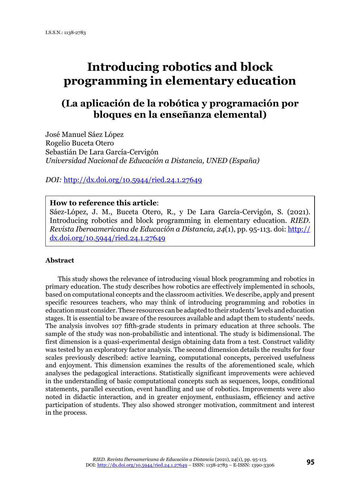# **Introducing robotics and block programming in elementary education**

# **(La aplicación de la robótica y programación por bloques en la enseñanza elemental)**

José Manuel Sáez López Rogelio Buceta Otero Sebastián De Lara García-Cervigón *Universidad Nacional de Educación a Distancia, UNED (España)*

*DOI:* <http://dx.doi.org/10.5944/ried.24.1.27649>

# **How to reference this article**:

Sáez-López, J. M., Buceta Otero, R., y De Lara García-Cervigón, S. (2021). Introducing robotics and block programming in elementary education. *RIED. Revista Iberoamericana de Educación a Distancia, 24*(1), pp. 95-113. doi: [http://](http://dx.doi.org/10.5944/ried.24.1.27649) [dx.doi.org/10.5944/ried.24.1.27649](http://dx.doi.org/10.5944/ried.24.1.27649)

#### **Abstract**

This study shows the relevance of introducing visual block programming and robotics in primary education. The study describes how robotics are effectively implemented in schools, based on computational concepts and the classroom activities. We describe, apply and present specific resources teachers, who may think of introducing programming and robotics in education must consider. These resources can be adapted to their students' levels and education stages. It is essential to be aware of the resources available and adapt them to students' needs. The analysis involves 107 fifth-grade students in primary education at three schools. The sample of the study was non-probabilistic and intentional. The study is bidimensional. The first dimension is a quasi-experimental design obtaining data from a test. Construct validity was tested by an exploratory factor analysis. The second dimension details the results for four scales previously described: active learning, computational concepts, perceived usefulness and enjoyment. This dimension examines the results of the aforementioned scale, which analyses the pedagogical interactions. Statistically significant improvements were achieved in the understanding of basic computational concepts such as sequences, loops, conditional statements, parallel execution, event handling and use of robotics. Improvements were also noted in didactic interaction, and in greater enjoyment, enthusiasm, efficiency and active participation of students. They also showed stronger motivation, commitment and interest in the process.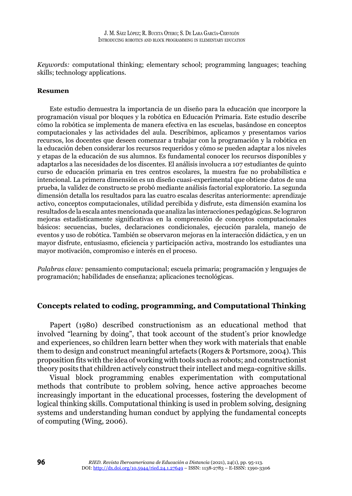*Keywords:* computational thinking; elementary school; programming languages; teaching skills; technology applications.

#### **Resumen**

Este estudio demuestra la importancia de un diseño para la educación que incorpore la programación visual por bloques y la robótica en Educación Primaria. Este estudio describe cómo la robótica se implementa de manera efectiva en las escuelas, basándose en conceptos computacionales y las actividades del aula. Describimos, aplicamos y presentamos varios recursos, los docentes que deseen comenzar a trabajar con la programación y la robótica en la educación deben considerar los recursos requeridos y cómo se pueden adaptar a los niveles y etapas de la educación de sus alumnos. Es fundamental conocer los recursos disponibles y adaptarlos a las necesidades de los discentes. El análisis involucra a 107 estudiantes de quinto curso de educación primaria en tres centros escolares, la muestra fue no probabilística e intencional. La primera dimensión es un diseño cuasi-experimental que obtiene datos de una prueba, la validez de constructo se probó mediante análisis factorial exploratorio. La segunda dimensión detalla los resultados para las cuatro escalas descritas anteriormente: aprendizaje activo, conceptos computacionales, utilidad percibida y disfrute, esta dimensión examina los resultados de la escala antes mencionada que analiza las interacciones pedagógicas. Se lograron mejoras estadísticamente significativas en la comprensión de conceptos computacionales básicos: secuencias, bucles, declaraciones condicionales, ejecución paralela, manejo de eventos y uso de robótica. También se observaron mejoras en la interacción didáctica, y en un mayor disfrute, entusiasmo, eficiencia y participación activa, mostrando los estudiantes una mayor motivación, compromiso e interés en el proceso.

*Palabras clave:* pensamiento computacional; escuela primaria; programación y lenguajes de programación; habilidades de enseñanza; aplicaciones tecnológicas.

# **Concepts related to coding, programming, and Computational Thinking**

Papert (1980) described constructionism as an educational method that involved "learning by doing", that took account of the student's prior knowledge and experiences, so children learn better when they work with materials that enable them to design and construct meaningful artefacts (Rogers & Portsmore, 2004). This proposition fits with the idea of working with tools such as robots; and constructionist theory posits that children actively construct their intellect and mega-cognitive skills.

Visual block programming enables experimentation with computational methods that contribute to problem solving, hence active approaches become increasingly important in the educational processes, fostering the development of logical thinking skills. Computational thinking is used in problem solving, designing systems and understanding human conduct by applying the fundamental concepts of computing (Wing, 2006).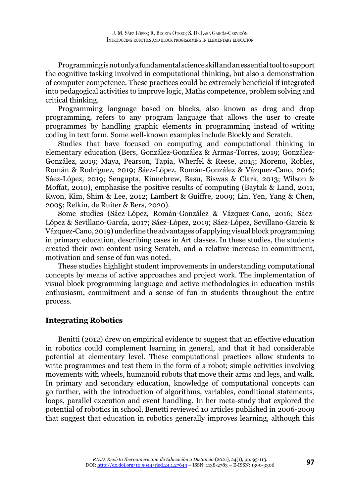Programming is not only a fundamental science skill and an essential tool to support the cognitive tasking involved in computational thinking, but also a demonstration of computer competence. These practices could be extremely beneficial if integrated into pedagogical activities to improve logic, Maths competence, problem solving and critical thinking.

Programming language based on blocks, also known as drag and drop programming, refers to any program language that allows the user to create programmes by handling graphic elements in programming instead of writing coding in text form. Some well-known examples include Blockly and Scratch.

Studies that have focused on computing and computational thinking in elementary education (Bers, González-González & Armas-Torres, 2019; González-González, 2019; Maya, Pearson, Tapia, Wherfel & Reese, 2015; Moreno, Robles, Román & Rodríguez, 2019; Sáez-López, Román-González & Vázquez-Cano, 2016; Sáez-López, 2019; Sengupta, Kinnebrew, Basu, Biswas & Clark, 2013; Wilson & Moffat, 2010), emphasise the positive results of computing (Baytak & Land, 2011, Kwon, Kim, Shim & Lee, 2012; Lambert & Guiffre, 2009; Lin, Yen, Yang & Chen, 2005; Relkin, de Ruiter & Bers, 2020).

Some studies (Sáez-López, Román-González & Vázquez-Cano, 2016; Sáez-López & Sevillano-García, 2017; Sáez-López, 2019; Sáez-López, Sevillano-García & Vázquez-Cano, 2019) underline the advantages of applying visual block programming in primary education, describing cases in Art classes. In these studies, the students created their own content using Scratch, and a relative increase in commitment, motivation and sense of fun was noted.

These studies highlight student improvements in understanding computational concepts by means of active approaches and project work. The implementation of visual block programming language and active methodologies in education instils enthusiasm, commitment and a sense of fun in students throughout the entire process.

# **Integrating Robotics**

Benitti (2012) drew on empirical evidence to suggest that an effective education in robotics could complement learning in general, and that it had considerable potential at elementary level. These computational practices allow students to write programmes and test them in the form of a robot; simple activities involving movements with wheels, humanoid robots that move their arms and legs, and walk. In primary and secondary education, knowledge of computational concepts can go further, with the introduction of algorithms, variables, conditional statements, loops, parallel execution and event handling. In her meta-study that explored the potential of robotics in school, Benetti reviewed 10 articles published in 2006-2009 that suggest that education in robotics generally improves learning, although this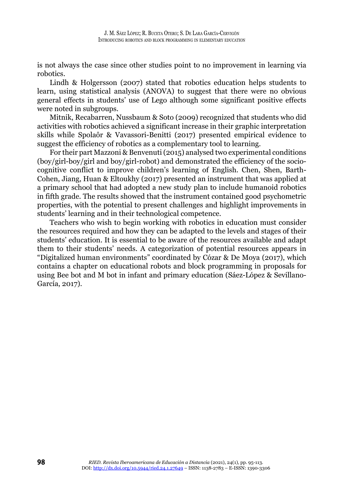is not always the case since other studies point to no improvement in learning via robotics.

Lindh & Holgersson (2007) stated that robotics education helps students to learn, using statistical analysis (ANOVA) to suggest that there were no obvious general effects in students' use of Lego although some significant positive effects were noted in subgroups.

Mitnik, Recabarren, Nussbaum & Soto (2009) recognized that students who did activities with robotics achieved a significant increase in their graphic interpretation skills while Spolaôr & Vavassori-Benitti (2017) presented empirical evidence to suggest the efficiency of robotics as a complementary tool to learning.

For their part Mazzoni & Benvenuti (2015) analysed two experimental conditions (boy/girl-boy/girl and boy/girl-robot) and demonstrated the efficiency of the sociocognitive conflict to improve children's learning of English. Chen, Shen, Barth-Cohen, Jiang, Huan & Eltoukhy (2017) presented an instrument that was applied at a primary school that had adopted a new study plan to include humanoid robotics in fifth grade. The results showed that the instrument contained good psychometric properties, with the potential to present challenges and highlight improvements in students' learning and in their technological competence.

Teachers who wish to begin working with robotics in education must consider the resources required and how they can be adapted to the levels and stages of their students' education. It is essential to be aware of the resources available and adapt them to their students' needs. A categorization of potential resources appears in "Digitalized human environments" coordinated by Cózar & De Moya (2017), which contains a chapter on educational robots and block programming in proposals for using Bee bot and M bot in infant and primary education (Sáez-López & Sevillano-García, 2017).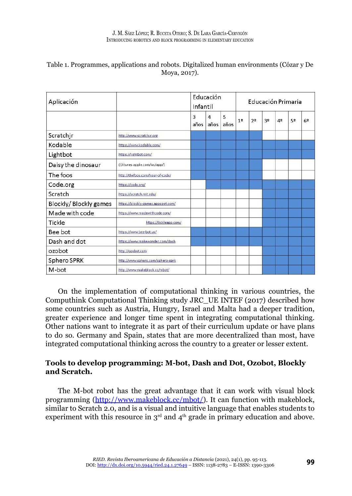| Aplicación            |                                    | Educación<br>Infantil |                        | Educación Primaria |    |                |    |                |    |    |
|-----------------------|------------------------------------|-----------------------|------------------------|--------------------|----|----------------|----|----------------|----|----|
|                       |                                    | 3<br>años             | $\overline{4}$<br>años | 5<br>años          | 10 | 2 <sup>0</sup> | 30 | 4 <sup>0</sup> | 5º | 6º |
| Scratchjr             | http://www.scratchir.org           |                       |                        |                    |    |                |    |                |    |    |
| Kodable               | https://www.kodable.com/           |                       |                        |                    |    |                |    |                |    |    |
| Lightbot              | https://lightbot.com/              |                       |                        |                    |    |                |    |                |    |    |
| Daisy the dinosaur    | (//itunes.apple.com/us/app/)       |                       |                        |                    |    |                |    |                |    |    |
| The foos              | http://thefoos.com/hour-of-code/   |                       |                        |                    |    |                |    |                |    |    |
| Code.org              | https://code.org/                  |                       |                        |                    |    |                |    |                |    |    |
| Scratch               | https://scratch.mit.edu/           |                       |                        |                    |    |                |    |                |    |    |
| Blockly/Blockly games | https://blockly-games.appspot.com/ |                       |                        |                    |    |                |    |                |    |    |
| Made with code        | https://www.madewithcode.com/      |                       |                        |                    |    |                |    |                |    |    |
| Tickle                | https://tickleapp.com/             |                       |                        |                    |    |                |    |                |    |    |
| Bee bot               | https://www.bee-bot.us/            |                       |                        |                    |    |                |    |                |    |    |
| Dash and dot          | https://www.makewonder.com/dash    |                       |                        |                    |    |                |    |                |    |    |
| ozobot                | http://ozobot.com                  |                       |                        |                    |    |                |    |                |    |    |
| Sphero SPRK           | http://www.sphero.com/sphero-sprk  |                       |                        |                    |    |                |    |                |    |    |
| M-bot                 | http://www.makeblock.cc/mbot/      |                       |                        |                    |    |                |    |                |    |    |

#### Table 1. Programmes, applications and robots. Digitalized human environments (Cózar y De Moya, 2017).

On the implementation of computational thinking in various countries, the Computhink Computational Thinking study JRC\_UE INTEF (2017) described how some countries such as Austria, Hungry, Israel and Malta had a deeper tradition, greater experience and longer time spent in integrating computational thinking. Other nations want to integrate it as part of their curriculum update or have plans to do so. Germany and Spain, states that are more decentralized than most, have integrated computational thinking across the country to a greater or lesser extent.

# **Tools to develop programming: M-bot, Dash and Dot, Ozobot, Blockly and Scratch.**

The M-bot robot has the great advantage that it can work with visual block programming [\(http://www.makeblock.cc/mbot/](http://www.makeblock.cc/mbot/)). It can function with makeblock, similar to Scratch 2.0, and is a visual and intuitive language that enables students to experiment with this resource in  $3<sup>rd</sup>$  and  $4<sup>th</sup>$  grade in primary education and above.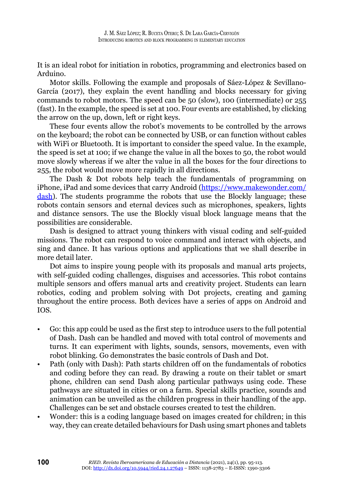It is an ideal robot for initiation in robotics, programming and electronics based on Arduino.

Motor skills. Following the example and proposals of Sáez-López & Sevillano-García (2017), they explain the event handling and blocks necessary for giving commands to robot motors. The speed can be 50 (slow), 100 (intermediate) or 255 (fast). In the example, the speed is set at 100. Four events are established, by clicking the arrow on the up, down, left or right keys.

These four events allow the robot's movements to be controlled by the arrows on the keyboard; the robot can be connected by USB, or can function without cables with WiFi or Bluetooth. It is important to consider the speed value. In the example, the speed is set at 100; if we change the value in all the boxes to 50, the robot would move slowly whereas if we alter the value in all the boxes for the four directions to 255, the robot would move more rapidly in all directions.

The Dash & Dot robots help teach the fundamentals of programming on iPhone, iPad and some devices that carry Android ([https://www.makewonder.com/](https://www.makewonder.com/dash) [dash\)](https://www.makewonder.com/dash). The students programme the robots that use the Blockly language; these robots contain sensors and eternal devices such as microphones, speakers, lights and distance sensors. The use the Blockly visual block language means that the possibilities are considerable.

Dash is designed to attract young thinkers with visual coding and self-guided missions. The robot can respond to voice command and interact with objects, and sing and dance. It has various options and applications that we shall describe in more detail later.

Dot aims to inspire young people with its proposals and manual arts projects, with self-guided coding challenges, disguises and accessories. This robot contains multiple sensors and offers manual arts and creativity project. Students can learn robotics, coding and problem solving with Dot projects, creating and gaming throughout the entire process. Both devices have a series of apps on Android and IOS.

- Go: this app could be used as the first step to introduce users to the full potential of Dash. Dash can be handled and moved with total control of movements and turns. It can experiment with lights, sounds, sensors, movements, even with robot blinking. Go demonstrates the basic controls of Dash and Dot.
- Path (only with Dash): Path starts children off on the fundamentals of robotics and coding before they can read. By drawing a route on their tablet or smart phone, children can send Dash along particular pathways using code. These pathways are situated in cities or on a farm. Special skills practice, sounds and animation can be unveiled as the children progress in their handling of the app. Challenges can be set and obstacle courses created to test the children.
- Wonder: this is a coding language based on images created for children; in this way, they can create detailed behaviours for Dash using smart phones and tablets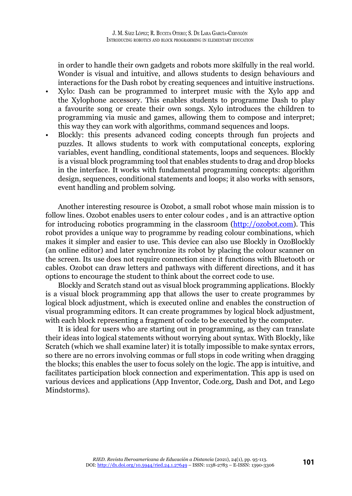in order to handle their own gadgets and robots more skilfully in the real world. Wonder is visual and intuitive, and allows students to design behaviours and interactions for the Dash robot by creating sequences and intuitive instructions.

- Xylo: Dash can be programmed to interpret music with the Xylo app and the Xylophone accessory. This enables students to programme Dash to play a favourite song or create their own songs. Xylo introduces the children to programming via music and games, allowing them to compose and interpret; this way they can work with algorithms, command sequences and loops.
- Blockly: this presents advanced coding concepts through fun projects and puzzles. It allows students to work with computational concepts, exploring variables, event handling, conditional statements, loops and sequences. Blockly is a visual block programming tool that enables students to drag and drop blocks in the interface. It works with fundamental programming concepts: algorithm design, sequences, conditional statements and loops; it also works with sensors, event handling and problem solving.

Another interesting resource is Ozobot, a small robot whose main mission is to follow lines. Ozobot enables users to enter colour codes , and is an attractive option for introducing robotics programming in the classroom ([http://ozobot.com\)](http://ozobot.com). This robot provides a unique way to programme by reading colour combinations, which makes it simpler and easier to use. This device can also use Blockly in OzoBlockly (an online editor) and later synchronize its robot by placing the colour scanner on the screen. Its use does not require connection since it functions with Bluetooth or cables. Ozobot can draw letters and pathways with different directions, and it has options to encourage the student to think about the correct code to use.

Blockly and Scratch stand out as visual block programming applications. Blockly is a visual block programming app that allows the user to create programmes by logical block adjustment, which is executed online and enables the construction of visual programming editors. It can create programmes by logical block adjustment, with each block representing a fragment of code to be executed by the computer.

It is ideal for users who are starting out in programming, as they can translate their ideas into logical statements without worrying about syntax. With Blockly, like Scratch (which we shall examine later) it is totally impossible to make syntax errors, so there are no errors involving commas or full stops in code writing when dragging the blocks; this enables the user to focus solely on the logic. The app is intuitive, and facilitates participation block connection and experimentation. This app is used on various devices and applications (App Inventor, Code.org, Dash and Dot, and Lego Mindstorms).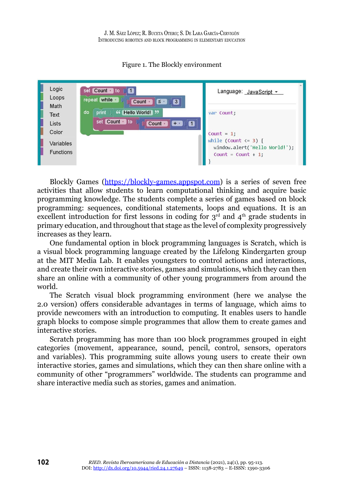

# Figure 1. The Blockly environment

Blockly Games [\(https://blockly-games.appspot.com](https://blockly-games.appspot.com)) is a series of seven free activities that allow students to learn computational thinking and acquire basic programming knowledge. The students complete a series of games based on block programming: sequences, conditional statements, loops and equations. It is an excellent introduction for first lessons in coding for  $3^{\overline{rd}}$  and  $4^{\text{th}}$  grade students in primary education, and throughout that stage as the level of complexity progressively increases as they learn.

One fundamental option in block programming languages is Scratch, which is a visual block programming language created by the Lifelong Kindergarten group at the MIT Media Lab. It enables youngsters to control actions and interactions, and create their own interactive stories, games and simulations, which they can then share an online with a community of other young programmers from around the world.

The Scratch visual block programming environment (here we analyse the 2.0 version) offers considerable advantages in terms of language, which aims to provide newcomers with an introduction to computing. It enables users to handle graph blocks to compose simple programmes that allow them to create games and interactive stories.

Scratch programming has more than 100 block programmes grouped in eight categories (movement, appearance, sound, pencil, control, sensors, operators and variables). This programming suite allows young users to create their own interactive stories, games and simulations, which they can then share online with a community of other "programmers" worldwide. The students can programme and share interactive media such as stories, games and animation.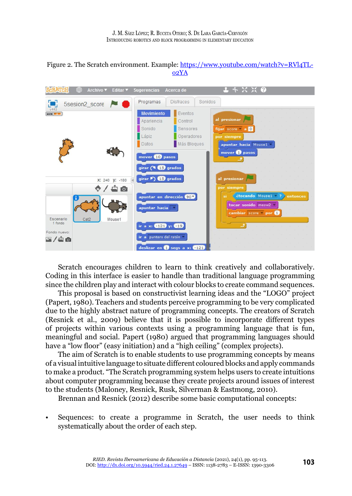



Scratch encourages children to learn to think creatively and collaboratively. Coding in this interface is easier to handle than traditional language programming since the children play and interact with colour blocks to create command sequences.

This proposal is based on constructivist learning ideas and the "LOGO" project (Papert, 1980). Teachers and students perceive programming to be very complicated due to the highly abstract nature of programming concepts. The creators of Scratch (Resnick et al., 2009) believe that it is possible to incorporate different types of projects within various contexts using a programming language that is fun, meaningful and social. Papert (1980) argued that programming languages should have a "low floor" (easy initiation) and a "high ceiling" (complex projects).

The aim of Scratch is to enable students to use programming concepts by means of a visual intuitive language to situate different coloured blocks and apply commands to make a product. "The Scratch programming system helps users to create intuitions about computer programming because they create projects around issues of interest to the students (Maloney, Resnick, Rusk, Silverman & Eastmong, 2010).

Brennan and Resnick (2012) describe some basic computational concepts:

• Sequences: to create a programme in Scratch, the user needs to think systematically about the order of each step.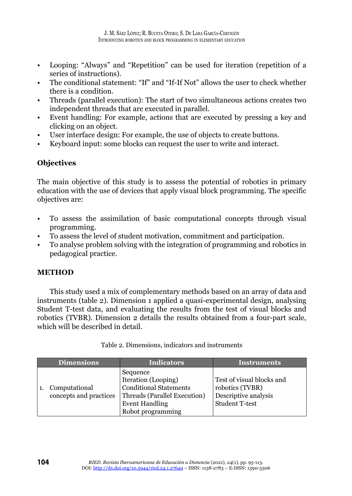- Looping: "Always" and "Repetition" can be used for iteration (repetition of a series of instructions).
- The conditional statement: "If" and "If-If Not" allows the user to check whether there is a condition.
- Threads (parallel execution): The start of two simultaneous actions creates two independent threads that are executed in parallel.
- Event handling: For example, actions that are executed by pressing a key and clicking on an object.
- User interface design: For example, the use of objects to create buttons.
- Keyboard input: some blocks can request the user to write and interact.

# **Objectives**

The main objective of this study is to assess the potential of robotics in primary education with the use of devices that apply visual block programming. The specific objectives are:

- To assess the assimilation of basic computational concepts through visual programming.
- To assess the level of student motivation, commitment and participation.
- To analyse problem solving with the integration of programming and robotics in pedagogical practice.

# **METHOD**

This study used a mix of complementary methods based on an array of data and instruments (table 2). Dimension 1 applied a quasi-experimental design, analysing Student T-test data, and evaluating the results from the test of visual blocks and robotics (TVBR). Dimension 2 details the results obtained from a four-part scale, which will be described in detail.

| <b>Dimensions</b>                       | <b>Indicators</b>                                                                                                                              | <b>Instruments</b>                                                                            |
|-----------------------------------------|------------------------------------------------------------------------------------------------------------------------------------------------|-----------------------------------------------------------------------------------------------|
| Computational<br>concepts and practices | Sequence<br>Iteration (Looping)<br><b>Conditional Statements</b><br>Threads (Parallel Execution)<br><b>Event Handling</b><br>Robot programming | Test of visual blocks and<br>robotics (TVBR)<br>Descriptive analysis<br><b>Student T-test</b> |

Table 2. Dimensions, indicators and instruments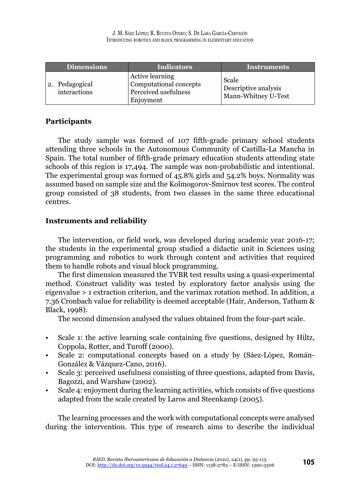| <b>Dimensions</b>              | <b>Indicators</b>                                                              | Instruments                                                 |  |  |  |
|--------------------------------|--------------------------------------------------------------------------------|-------------------------------------------------------------|--|--|--|
| 2. Pedagogical<br>interactions | Active learning<br>Computational concepts<br>Perceived usefulness<br>Enjoyment | <b>Scale</b><br>Descriptive analysis<br>Mann-Whitney U-Test |  |  |  |

# **Participants**

The study sample was formed of 107 fifth-grade primary school students attending three schools in the Autonomous Community of Castilla-La Mancha in Spain. The total number of fifth-grade primary education students attending state schools of this region is 17,494. The sample was non-probabilistic and intentional. The experimental group was formed of 45.8% girls and 54.2% boys. Normality was assumed based on sample size and the Kolmogorov-Smirnov test scores. The control group consisted of 38 students, from two classes in the same three educational centres.

# **Instruments and reliability**

The intervention, or field work, was developed during academic year 2016-17; the students in the experimental group studied a didactic unit in Sciences using programming and robotics to work through content and activities that required them to handle robots and visual block programming.

The first dimension measured the TVBR test results using a quasi-experimental method. Construct validity was tested by exploratory factor analysis using the eigenvalue > 1 extraction criterion, and the varimax rotation method. In addition, a 7.36 Cronbach value for reliability is deemed acceptable (Hair, Anderson, Tatham & Black, 1998).

The second dimension analysed the values obtained from the four-part scale.

- Scale 1: the active learning scale containing five questions, designed by Hiltz, Coppola, Rotter, and Turoff (2000).
- Scale 2: computational concepts based on a study by (Sáez-López, Román-González & Vázquez-Cano, 2016).
- Scale 3: perceived usefulness consisting of three questions, adapted from Davis, Bagozzi, and Warshaw (2002).
- Scale 4: enjoyment during the learning activities, which consists of five questions adapted from the scale created by Laros and Steenkamp (2005).

The learning processes and the work with computational concepts were analysed during the intervention. This type of research aims to describe the individual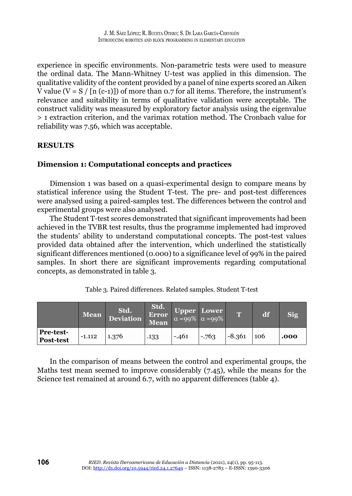experience in specific environments. Non-parametric tests were used to measure the ordinal data. The Mann-Whitney U-test was applied in this dimension. The qualitative validity of the content provided by a panel of nine experts scored an Aiken V value (V = S / [n (c-1)]) of more than 0.7 for all items. Therefore, the instrument's relevance and suitability in terms of qualitative validation were acceptable. The construct validity was measured by exploratory factor analysis using the eigenvalue > 1 extraction criterion, and the varimax rotation method. The Cronbach value for reliability was 7.56, which was acceptable.

# **RESULTS**

# **Dimension 1: Computational concepts and practices**

Dimension 1 was based on a quasi-experimental design to compare means by statistical inference using the Student T-test. The pre- and post-test differences were analysed using a paired-samples test. The differences between the control and experimental groups were also analysed.

The Student T-test scores demonstrated that significant improvements had been achieved in the TVBR test results, thus the programme implemented had improved the students' ability to understand computational concepts. The post-test values provided data obtained after the intervention, which underlined the statistically significant differences mentioned (0.000) to a significance level of 99% in the paired samples. In short there are significant improvements regarding computational concepts, as demonstrated in table 3.

|                                      | <b>Mean</b> | Std.<br>Deviation | Std.<br>Error<br><b>Mean</b> | Upper Lower<br>$\alpha = 99\%$ $\alpha = 99\%$ |        | m        | đf  |      |
|--------------------------------------|-------------|-------------------|------------------------------|------------------------------------------------|--------|----------|-----|------|
| <b>Pre-test-</b><br><b>Post-test</b> | $-1.112$    | 1.376             | .133                         | $-.461$                                        | $-763$ | $-8.361$ | 106 | .000 |

Table 3. Paired differences. Related samples. Student T-test

In the comparison of means between the control and experimental groups, the Maths test mean seemed to improve considerably (7.45), while the means for the Science test remained at around 6.7, with no apparent differences (table 4).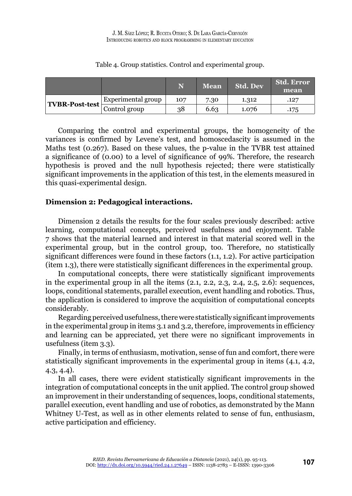|                |                    | N   | Mean | <b>Std. Dev</b> | <b>Std. Error</b><br>mean |
|----------------|--------------------|-----|------|-----------------|---------------------------|
| TVBR-Post-test | Experimental group | 107 | 7.30 | 1.312           | .127                      |
|                | Control group      | 38  | 6.63 | 1.076           | .175                      |

#### Table 4. Group statistics. Control and experimental group.

Comparing the control and experimental groups, the homogeneity of the variances is confirmed by Levene's test, and homoscedascity is assumed in the Maths test (0.267). Based on these values, the p-value in the TVBR test attained a significance of (0.00) to a level of significance of 99%. Therefore, the research hypothesis is proved and the null hypothesis rejected; there were statistically significant improvements in the application of this test, in the elements measured in this quasi-experimental design.

# **Dimension 2: Pedagogical interactions.**

Dimension 2 details the results for the four scales previously described: active learning, computational concepts, perceived usefulness and enjoyment. Table 7 shows that the material learned and interest in that material scored well in the experimental group, but in the control group, too. Therefore, no statistically significant differences were found in these factors (1.1, 1.2). For active participation (item 1.3), there were statistically significant differences in the experimental group.

In computational concepts, there were statistically significant improvements in the experimental group in all the items  $(2.1, 2.2, 2.3, 2.4, 2.5, 2.6)$ : sequences, loops, conditional statements, parallel execution, event handling and robotics. Thus, the application is considered to improve the acquisition of computational concepts considerably.

Regarding perceived usefulness, there were statistically significant improvements in the experimental group in items 3.1 and 3.2, therefore, improvements in efficiency and learning can be appreciated, yet there were no significant improvements in usefulness (item 3.3).

Finally, in terms of enthusiasm, motivation, sense of fun and comfort, there were statistically significant improvements in the experimental group in items (4.1, 4.2, 4.3, 4.4).

In all cases, there were evident statistically significant improvements in the integration of computational concepts in the unit applied. The control group showed an improvement in their understanding of sequences, loops, conditional statements, parallel execution, event handling and use of robotics, as demonstrated by the Mann Whitney U-Test, as well as in other elements related to sense of fun, enthusiasm, active participation and efficiency.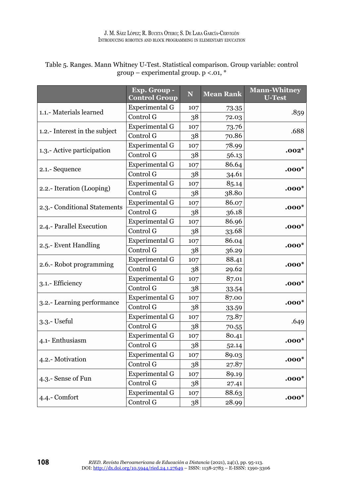|                               | Exp. Group -<br><b>Control Group</b> | N   | <b>Mean Rank</b> | <b>Mann-Whitney</b><br><b>U-Test</b> |
|-------------------------------|--------------------------------------|-----|------------------|--------------------------------------|
| 1.1.- Materials learned       | Experimental G                       | 107 | 73.35            |                                      |
|                               | Control G                            | 38  | 72.03            | .859                                 |
| 1.2.- Interest in the subject | Experimental G                       | 107 | 73.76            | .688                                 |
|                               | Control G                            | 38  | 70.86            |                                      |
|                               | Experimental G                       | 107 | 78.99            | .002*                                |
| 1.3.- Active participation    | Control G                            | 38  | 56.13            |                                      |
|                               | Experimental G                       | 107 | 86.64            |                                      |
| 2.1.- Sequence                | Control G                            | 38  | 34.61            | $.000*$                              |
| 2.2.- Iteration (Looping)     | Experimental G                       | 107 | 85.14            | $.000*$                              |
|                               | Control G                            | 38  | 38.80            |                                      |
|                               | Experimental G                       | 107 | 86.07            |                                      |
| 2.3.- Conditional Statements  | Control G                            | 38  | 36.18            | $.000*$                              |
|                               | Experimental G                       | 107 | 86.96            |                                      |
| 2.4.- Parallel Execution      | Control G                            | 38  | 33.68            | $.000*$                              |
|                               | Experimental G                       | 107 | 86.04            |                                      |
| 2.5.- Event Handling          | Control G                            | 38  | 36.29            | $.000*$                              |
|                               | Experimental G                       | 107 | 88.41            |                                      |
| 2.6.- Robot programming       | Control G                            | 38  | 29.62            | $.000*$                              |
|                               | Experimental G                       | 107 | 87.01            |                                      |
| 3.1.- Efficiency              | Control G                            | 38  | 33.54            | $.000*$                              |
|                               | Experimental G                       | 107 | 87.00            |                                      |
| 3.2.- Learning performance    | Control G                            | 38  | 33.59            | $.000*$                              |
|                               | Experimental G                       | 107 | 73.87            |                                      |
| 3.3.- Useful                  | Control G                            | 38  | 70.55            | .649                                 |
|                               | Experimental G                       | 107 | 80.41            |                                      |
| 4.1- Enthusiasm               | Control G                            | 38  | 52.14            | $.000*$                              |
|                               | Experimental G                       | 107 | 89.03            |                                      |
| 4.2.- Motivation              | Control G                            | 38  | 27.87            | $.000*$                              |
|                               | Experimental G                       | 107 | 89.19            |                                      |
| 4.3.- Sense of Fun            | Control G                            | 38  | 27.41            | $.000*$                              |
|                               | Experimental G                       | 107 | 88.63            |                                      |
| 4.4.- Comfort                 | Control G                            | 38  | 28.99            | $.000*$                              |

# Table 5. Ranges. Mann Whitney U-Test. Statistical comparison. Group variable: control group – experimental group.  $p < 0.01$ , \*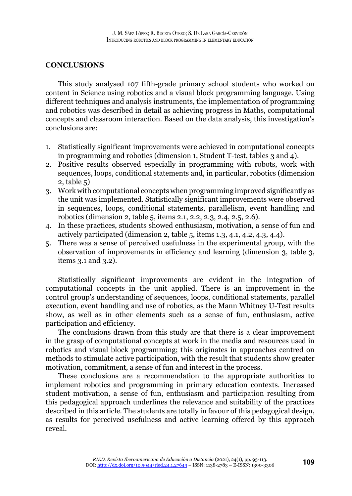# **CONCLUSIONS**

This study analysed 107 fifth-grade primary school students who worked on content in Science using robotics and a visual block programming language. Using different techniques and analysis instruments, the implementation of programming and robotics was described in detail as achieving progress in Maths, computational concepts and classroom interaction. Based on the data analysis, this investigation's conclusions are:

- 1. Statistically significant improvements were achieved in computational concepts in programming and robotics (dimension 1, Student T-test, tables 3 and 4).
- 2. Positive results observed especially in programming with robots, work with sequences, loops, conditional statements and, in particular, robotics (dimension 2, table 5)
- 3. Work with computational concepts when programming improved significantly as the unit was implemented. Statistically significant improvements were observed in sequences, loops, conditional statements, parallelism, event handling and robotics (dimension 2, table 5, items 2.1, 2.2, 2.3, 2.4, 2.5, 2.6).
- 4. In these practices, students showed enthusiasm, motivation, a sense of fun and actively participated (dimension 2, table 5, items 1.3, 4.1, 4.2, 4.3, 4.4).
- 5. There was a sense of perceived usefulness in the experimental group, with the observation of improvements in efficiency and learning (dimension 3, table 3, items 3.1 and 3.2).

Statistically significant improvements are evident in the integration of computational concepts in the unit applied. There is an improvement in the control group's understanding of sequences, loops, conditional statements, parallel execution, event handling and use of robotics, as the Mann Whitney U-Test results show, as well as in other elements such as a sense of fun, enthusiasm, active participation and efficiency.

The conclusions drawn from this study are that there is a clear improvement in the grasp of computational concepts at work in the media and resources used in robotics and visual block programming; this originates in approaches centred on methods to stimulate active participation, with the result that students show greater motivation, commitment, a sense of fun and interest in the process.

These conclusions are a recommendation to the appropriate authorities to implement robotics and programming in primary education contexts. Increased student motivation, a sense of fun, enthusiasm and participation resulting from this pedagogical approach underlines the relevance and suitability of the practices described in this article. The students are totally in favour of this pedagogical design, as results for perceived usefulness and active learning offered by this approach reveal.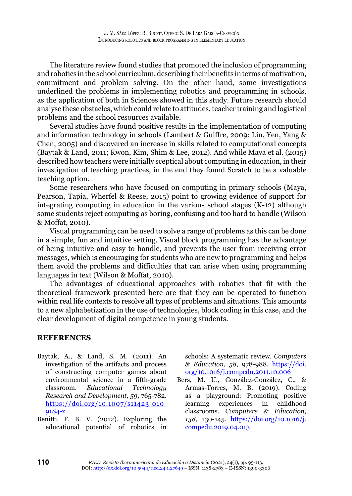The literature review found studies that promoted the inclusion of programming and robotics in the school curriculum, describing their benefits in terms of motivation, commitment and problem solving. On the other hand, some investigations underlined the problems in implementing robotics and programming in schools, as the application of both in Sciences showed in this study. Future research should analyse these obstacles, which could relate to attitudes, teacher training and logistical problems and the school resources available.

Several studies have found positive results in the implementation of computing and information technology in schools (Lambert & Guiffre, 2009; Lin, Yen, Yang & Chen, 2005) and discovered an increase in skills related to computational concepts (Baytak & Land, 2011; Kwon, Kim, Shim & Lee, 2012). And while Maya et al. (2015) described how teachers were initially sceptical about computing in education, in their investigation of teaching practices, in the end they found Scratch to be a valuable teaching option.

Some researchers who have focused on computing in primary schools (Maya, Pearson, Tapia, Wherfel & Reese, 2015) point to growing evidence of support for integrating computing in education in the various school stages (K-12) although some students reject computing as boring, confusing and too hard to handle (Wilson & Moffat, 2010).

Visual programming can be used to solve a range of problems as this can be done in a simple, fun and intuitive setting. Visual block programming has the advantage of being intuitive and easy to handle, and prevents the user from receiving error messages, which is encouraging for students who are new to programming and helps them avoid the problems and difficulties that can arise when using programming languages in text (Wilson & Moffat, 2010).

The advantages of educational approaches with robotics that fit with the theoretical framework presented here are that they can be operated to function within real life contexts to resolve all types of problems and situations. This amounts to a new alphabetization in the use of technologies, block coding in this case, and the clear development of digital competence in young students.

# **REFERENCES**

- Baytak, A., & Land, S. M. (2011). An investigation of the artifacts and process of constructing computer games about environmental science in a fifth-grade classroom. *Educational Technology Research and Development, 59*, 765-782. [https://doi.org/10.1007/s11423-010-](https://doi.org/10.1007/s11423-010-9184-z) [9184-z](https://doi.org/10.1007/s11423-010-9184-z)
- Benitti, F. B. V. (2012). Exploring the educational potential of robotics in

schools: A systematic review. *Computers & Education, 58*, 978-988. [https://doi.](https://doi.org/10.1016/j.compedu.2011.10.006) [org/10.1016/j.compedu.2011.10.006](https://doi.org/10.1016/j.compedu.2011.10.006)

Bers, M. U., González-González, C., & Armas-Torres, M. B. (2019). Coding as a playground: Promoting positive learning experiences in childhood classrooms. *Computers & Education, 138*, 130-145. [https://doi.org/10.1016/j.](https://doi.org/10.1016/j.compedu.2019.04.013) [compedu.2019.04.013](https://doi.org/10.1016/j.compedu.2019.04.013)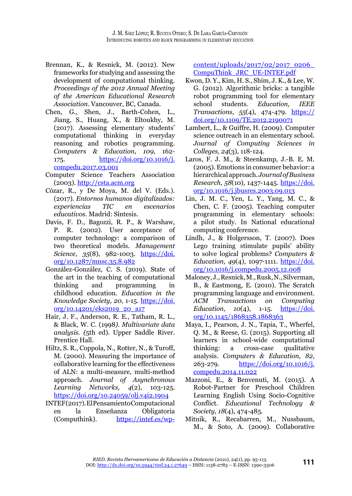- Brennan, K., & Resnick, M. (2012). New frameworks for studying and assessing the development of computational thinking. *Proceedings of the 2012 Annual Meeting of the American Educational Research Association*. Vancouver, BC, Canada.
- Chen, G., Shen, J., Barth-Cohen, L., Jiang, S., Huang, X., & Eltoukhy, M. (2017). Assessing elementary students' computational thinking in everyday reasoning and robotics programming. *Computers & Education, 109*, 162- 175. [https://doi.org/10.1016/j.](https://doi.org/10.1016/j.compedu.2017.03.001) [compedu.2017.03.001](https://doi.org/10.1016/j.compedu.2017.03.001)
- Computer Science Teachers Association  $(2003)$ .<http://csta.acm.org>
- Cózar, R., y De Moya, M. del V. (Eds.). (2017). *Entornos humanos digitalizados: experiencias TIC en escenarios educativos*. Madrid: Síntesis.
- Davis, F. D., Bagozzi, R. P., & Warshaw, P. R. (2002). User acceptance of computer technology: a comparison of two theoretical models. *Management Science, 35*(8), 982-1003. [https://doi.](https://doi.org/10.1287/mnsc.35.8.982) [org/10.1287/mnsc.35.8.982](https://doi.org/10.1287/mnsc.35.8.982)
- González-González, C. S. (2019). State of the art in the teaching of computational thinking and programming in childhood education. *Education in the Knowledge Society, 20*, 1-15. [https://doi.](https://doi.org/10.14201/eks2019_20_a17) [org/10.14201/eks2019\\_20\\_a17](https://doi.org/10.14201/eks2019_20_a17)
- Hair, J. F., Anderson, R. E., Tatham, R. L., & Black, W. C. (1998*). Multivariate data analysis. (*5th ed). Upper Saddle River. Prentice Hall.
- Hiltz, S. R., Coppola, N., Rotter, N., & Turoff, M. (2000). Measuring the importance of collaborative learning for the effectiveness of ALN: a multi-measure, multi-method approach. *Journal of Asynchronous Learning Networks, 4*(2), 103-125. <https://doi.org/10.24059/olj.v4i2.1904>
- INTEF (2017). El Pensamiento Computacional en la Enseñanza Obligatoria (Computhink). [https://intef.es/wp-](https://intef.es/wp-content/uploads/2017/02/2017_0206_CompuThink_JRC_UE-INTEF.pdf)

[content/uploads/2017/02/2017\\_0206\\_](https://intef.es/wp-content/uploads/2017/02/2017_0206_CompuThink_JRC_UE-INTEF.pdf) [CompuThink\\_JRC\\_UE-INTEF.pdf](https://intef.es/wp-content/uploads/2017/02/2017_0206_CompuThink_JRC_UE-INTEF.pdf)

- Kwon, D. Y., Kim, H. S., Shim, J. K., & Lee, W. G. (2012). Algorithmic bricks: a tangible robot programming tool for elementary school students. *Education, IEEE Transactions, 55*(4), 474-479. [https://](https://doi.org/10.1109/TE.2012.2190071) [doi.org/10.1109/TE.2012.2190071](https://doi.org/10.1109/TE.2012.2190071)
- Lambert, L., & Guiffre, H. (2009). Computer science outreach in an elementary school. *Journal of Computing Sciences in Colleges, 24*(3), 118-124.
- Laros, F. J. M., & Steenkamp, J.-B. E. M. (2005). Emotions in consumer behavior: a hierarchical approach. *Journal of Business Research, 58*(10), 1437-1445. [https://doi.](https://doi.org/10.1016/j.jbusres.2003.09.013) [org/10.1016/j.jbusres.2003.09.013](https://doi.org/10.1016/j.jbusres.2003.09.013)
- Lin, J. M. C., Yen, L. Y., Yang, M. C., & Chen, C. F. (2005). Teaching computer programming in elementary schools: a pilot study. In National educational computing conference.
- Lindh, J., & Holgersson, T. (2007). Does Lego training stimulate pupils' ability to solve logical problems? *Computers & Education, 49*(4), 1097-1111. [https://doi.](https://doi.org/10.1016/j.compedu.2005.12.008) [org/10.1016/j.compedu.2005.12.008](https://doi.org/10.1016/j.compedu.2005.12.008)
- Maloney, J., Resnick, M., Rusk, N., Silverman, B., & Eastmong, E. (2010). The Scratch programming language and environment. *ACM Transactions on Computing Education, 10*(4), 1-15. [https://doi.](https://doi.org/10.1145/1868358.1868363) [org/10.1145/1868358.1868363](https://doi.org/10.1145/1868358.1868363)
- Maya, I., Pearson, J. N., Tapia, T., Wherfel, Q. M., & Reese, G. (2015). Supporting all learners in school-wide computational thinking: a cross-case qualitative analysis. *Computers & Education, 82*, 263-279. [https://doi.org/10.1016/j.](https://doi.org/10.1016/j.compedu.2014.11.022) [compedu.2014.11.022](https://doi.org/10.1016/j.compedu.2014.11.022)
- Mazzoni, E., & Benvenuti, M. (2015). A Robot-Partner for Preschool Children Learning English Using Socio-Cognitive Conflict. *Educational Technology & Society, 18*(4), 474-485.
- Mitnik, R., Recabarren, M., Nussbaum, M., & Soto, A. (2009). Collaborative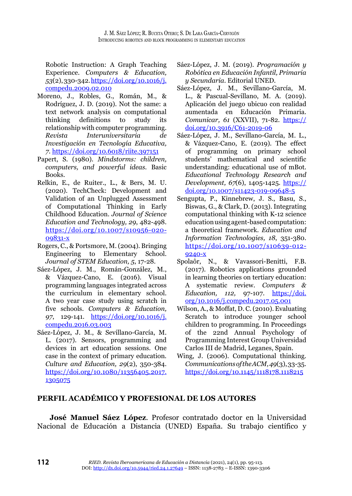Robotic Instruction: A Graph Teaching Experience. *Computers & Education, 53*(2), 330-342. [https://doi.org/10.1016/j.](https://doi.org/10.1016/j.compedu.2009.02.010) [compedu.2009.02.010](https://doi.org/10.1016/j.compedu.2009.02.010)

- Moreno, J., Robles, G., Román, M., & Rodríguez, J. D. (2019). Not the same: a text network analysis on computational thinking definitions to study its relationship with computer programming. *Revista Interuniversitaria de Investigación en Tecnología Educativa, 7*.<https://doi.org/10.6018/riite.397151>
- Papert, S. (1980). *Mindstorms: children, computers, and powerful ideas.* Basic Books.
- Relkin, E., de Ruiter., L., & Bers, M. U. (2020). TechCheck: Development and Validation of an Unplugged Assessment of Computational Thinking in Early Childhood Education. *Journal of Science Education and Technology, 29*, 482-498. [https://doi.org/10.1007/s10956-020-](https://doi.org/10.1007/s10956-020-09831-x) [09831-x](https://doi.org/10.1007/s10956-020-09831-x)
- Rogers, C., & Portsmore, M. (2004). Bringing Engineering to Elementary School. *Journal of STEM Education, 5*, 17-28.
- Sáez-López, J. M., Román-González, M., & Vázquez-Cano, E. (2016). Visual programming languages integrated across the curriculum in elementary school. A two year case study using scratch in five schools. *Computers & Education, 97*, 129-141. [https://doi.org/10.1016/j.](https://doi.org/10.1016/j.compedu.2016.03.003) [compedu.2016.03.003](https://doi.org/10.1016/j.compedu.2016.03.003)
- Sáez-López, J. M., & Sevillano-García, M. L. (2017). Sensors, programming and devices in art education sessions. One case in the context of primary education*. Culture and Education, 29*(2), 350-384. [https://doi.org/10.1080/11356405.2017.](https://doi.org/10.1080/11356405.2017.1305075) [1305075](https://doi.org/10.1080/11356405.2017.1305075)
- Sáez-López, J. M. (2019). *Programación y Robótica en Educación Infantil, Primaria y Secundaria*. Editorial UNED.
- Sáez-López, J. M., Sevillano-García, M. L., & Pascual-Sevillano, M. A. (2019). Aplicación del juego ubicuo con realidad aumentada en Educación Primaria. *Comunicar, 61* (XXVII), 71-82. [https://](https://doi.org/10.3916/C61-2019-06) [doi.org/10.3916/C61-2019-06](https://doi.org/10.3916/C61-2019-06)
- Sáez-López, J. M., Sevillano-García, M. L., & Vázquez-Cano, E. (2019). The effect of programming on primary school students' mathematical and scientific understanding: educational use of mBot. *Educational Technology Research and Development, 67*(6), 1405-1425. [https://](https://doi.org/10.1007/s11423-019-09648-5) [doi.org/10.1007/s11423-019-09648-5](https://doi.org/10.1007/s11423-019-09648-5)
- Sengupta, P., Kinnebrew, J. S., Basu, S., Biswas, G., & Clark, D. (2013). Integrating computational thinking with K-12 science education using agent-based computation: a theoretical framework. *Education and Information Technologies, 18*, 351-380. [https://doi.org/10.1007/s10639-012-](https://doi.org/10.1007/s10639-012-9240-x) [9240-x](https://doi.org/10.1007/s10639-012-9240-x)
- Spolaôr, N., & Vavassori-Benitti, F.B. (2017). Robotics applications grounded in learning theories on tertiary education: A systematic review. *Computers & Education, 112,* 97-107. [https://doi.](https://doi.org/10.1016/j.compedu.2017.05.001) [org/10.1016/j.compedu.2017.05.001](https://doi.org/10.1016/j.compedu.2017.05.001)
- Wilson, A., & Moffat, D. C. (2010). Evaluating Scratch to introduce younger school children to programming. In Proceedings of the 22nd Annual Psychology of Programming Interest Group Universidad Carlos III de Madrid, Leganes, Spain.
- Wing, J. (2006). Computational thinking. *Communications of the ACM, 49*(3), 33-35. <https://doi.org/10.1145/1118178.1118215>

# **PERFIL ACADÉMICO Y PROFESIONAL DE LOS AUTORES**

**José Manuel Sáez López**. Profesor contratado doctor en la Universidad Nacional de Educación a Distancia (UNED) España. Su trabajo científico y